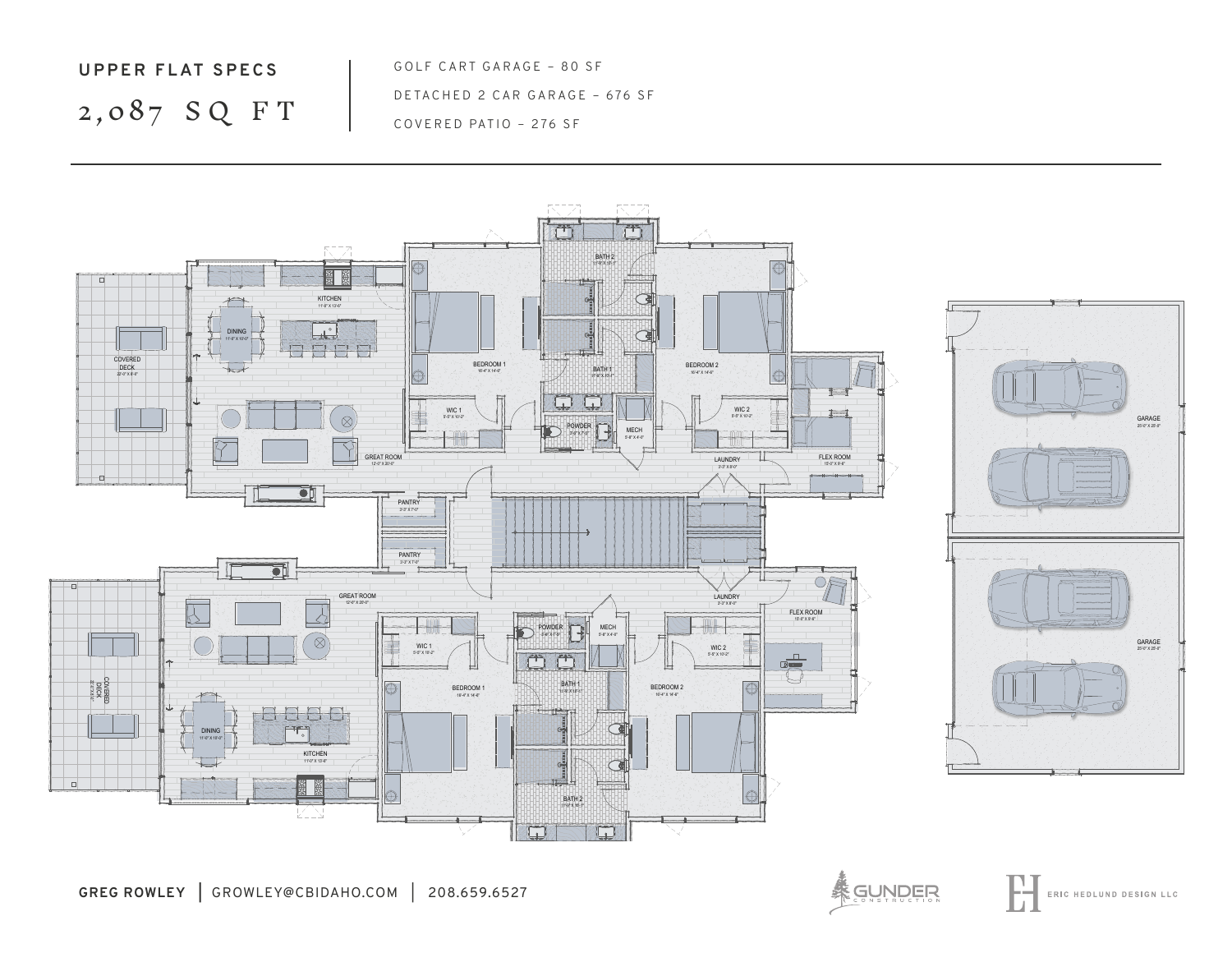## **UPPER FLAT SPECS** 2,087 S Q F T

GOLF CART GARAGE - 80 SF DETACHED 2 CAR GARAGE – 676 SF COVERED PATIO – 276 SF